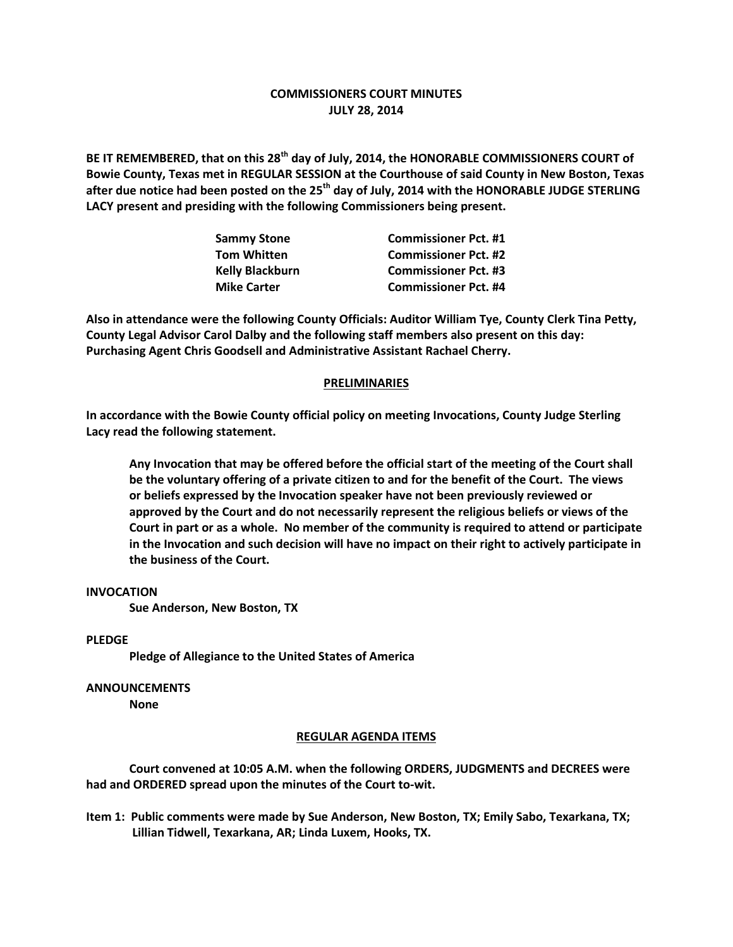## **COMMISSIONERS COURT MINUTES JULY 28, 2014**

**BE IT REMEMBERED, that on this 28th day of July, 2014, the HONORABLE COMMISSIONERS COURT of Bowie County, Texas met in REGULAR SESSION at the Courthouse of said County in New Boston, Texas after due notice had been posted on the 25th day of July, 2014 with the HONORABLE JUDGE STERLING LACY present and presiding with the following Commissioners being present.**

| <b>Sammy Stone</b>     | <b>Commissioner Pct. #1</b> |
|------------------------|-----------------------------|
| <b>Tom Whitten</b>     | <b>Commissioner Pct. #2</b> |
| <b>Kelly Blackburn</b> | <b>Commissioner Pct. #3</b> |
| <b>Mike Carter</b>     | <b>Commissioner Pct. #4</b> |

**Also in attendance were the following County Officials: Auditor William Tye, County Clerk Tina Petty, County Legal Advisor Carol Dalby and the following staff members also present on this day: Purchasing Agent Chris Goodsell and Administrative Assistant Rachael Cherry.**

### **PRELIMINARIES**

**In accordance with the Bowie County official policy on meeting Invocations, County Judge Sterling Lacy read the following statement.**

**Any Invocation that may be offered before the official start of the meeting of the Court shall be the voluntary offering of a private citizen to and for the benefit of the Court. The views or beliefs expressed by the Invocation speaker have not been previously reviewed or approved by the Court and do not necessarily represent the religious beliefs or views of the Court in part or as a whole. No member of the community is required to attend or participate in the Invocation and such decision will have no impact on their right to actively participate in the business of the Court.**

#### **INVOCATION**

**Sue Anderson, New Boston, TX**

#### **PLEDGE**

**Pledge of Allegiance to the United States of America**

## **ANNOUNCEMENTS**

**None**

## **REGULAR AGENDA ITEMS**

**Court convened at 10:05 A.M. when the following ORDERS, JUDGMENTS and DECREES were had and ORDERED spread upon the minutes of the Court to-wit.**

**Item 1: Public comments were made by Sue Anderson, New Boston, TX; Emily Sabo, Texarkana, TX; Lillian Tidwell, Texarkana, AR; Linda Luxem, Hooks, TX.**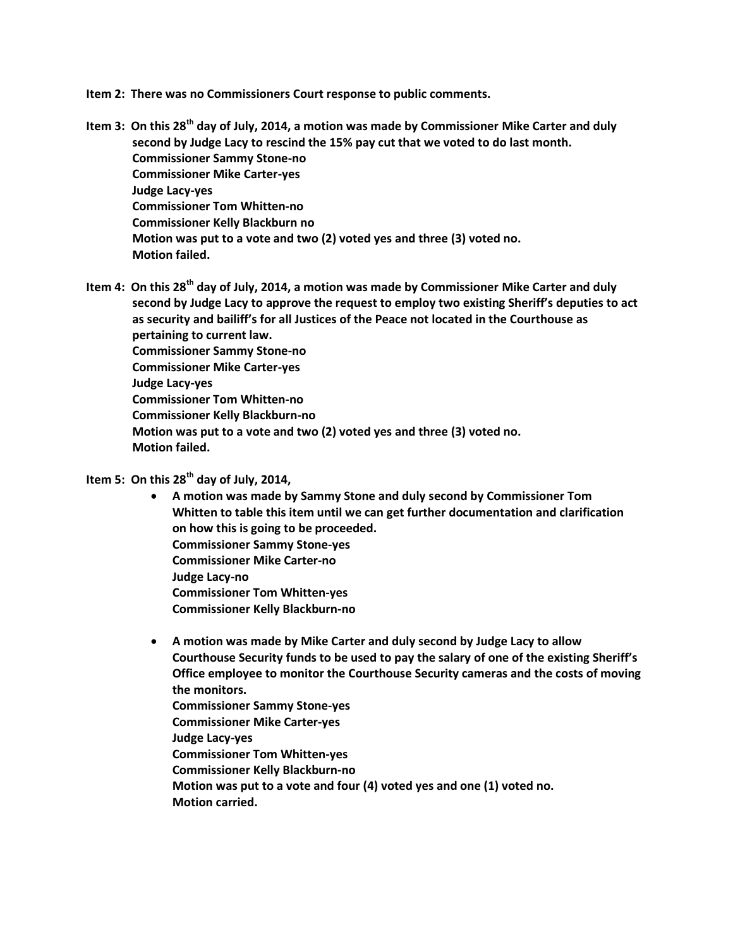**Item 2: There was no Commissioners Court response to public comments.**

**Item 3: On this 28th day of July, 2014, a motion was made by Commissioner Mike Carter and duly second by Judge Lacy to rescind the 15% pay cut that we voted to do last month. Commissioner Sammy Stone-no Commissioner Mike Carter-yes Judge Lacy-yes Commissioner Tom Whitten-no Commissioner Kelly Blackburn no Motion was put to a vote and two (2) voted yes and three (3) voted no. Motion failed.**

**Item 4: On this 28th day of July, 2014, a motion was made by Commissioner Mike Carter and duly second by Judge Lacy to approve the request to employ two existing Sheriff's deputies to act as security and bailiff's for all Justices of the Peace not located in the Courthouse as pertaining to current law. Commissioner Sammy Stone-no Commissioner Mike Carter-yes Judge Lacy-yes Commissioner Tom Whitten-no Commissioner Kelly Blackburn-no Motion was put to a vote and two (2) voted yes and three (3) voted no. Motion failed.**

# **Item 5: On this 28th day of July, 2014,**

- **A motion was made by Sammy Stone and duly second by Commissioner Tom Whitten to table this item until we can get further documentation and clarification on how this is going to be proceeded. Commissioner Sammy Stone-yes Commissioner Mike Carter-no Judge Lacy-no Commissioner Tom Whitten-yes Commissioner Kelly Blackburn-no**
- **A motion was made by Mike Carter and duly second by Judge Lacy to allow Courthouse Security funds to be used to pay the salary of one of the existing Sheriff's Office employee to monitor the Courthouse Security cameras and the costs of moving the monitors. Commissioner Sammy Stone-yes Commissioner Mike Carter-yes Judge Lacy-yes Commissioner Tom Whitten-yes Commissioner Kelly Blackburn-no Motion was put to a vote and four (4) voted yes and one (1) voted no. Motion carried.**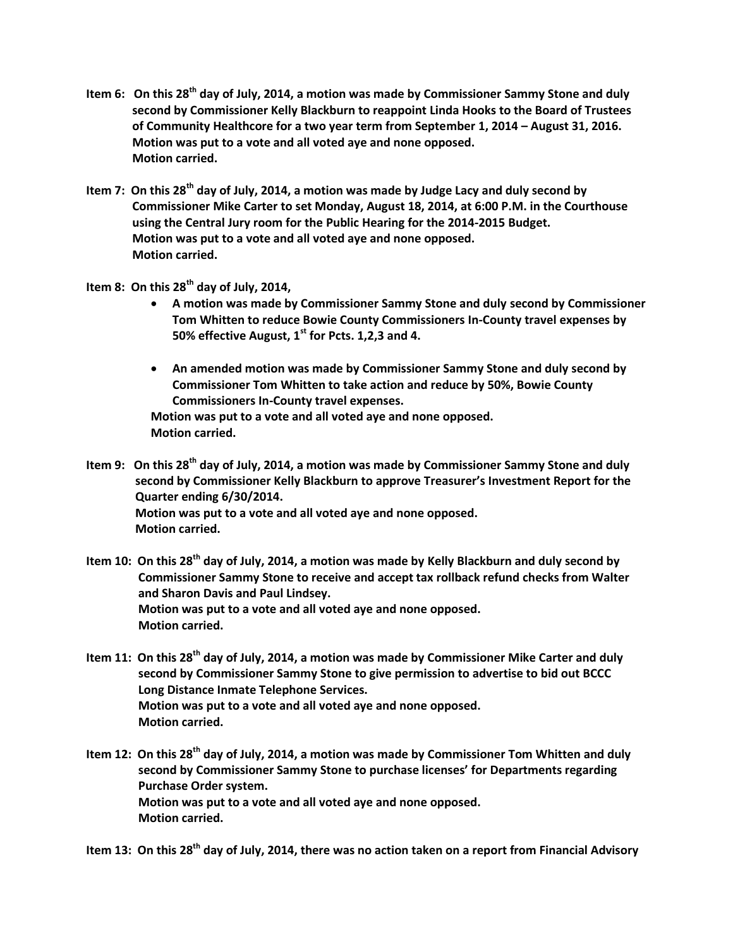- **Item 6: On this 28th day of July, 2014, a motion was made by Commissioner Sammy Stone and duly second by Commissioner Kelly Blackburn to reappoint Linda Hooks to the Board of Trustees of Community Healthcore for a two year term from September 1, 2014 – August 31, 2016. Motion was put to a vote and all voted aye and none opposed. Motion carried.**
- **Item 7: On this 28th day of July, 2014, a motion was made by Judge Lacy and duly second by Commissioner Mike Carter to set Monday, August 18, 2014, at 6:00 P.M. in the Courthouse using the Central Jury room for the Public Hearing for the 2014-2015 Budget. Motion was put to a vote and all voted aye and none opposed. Motion carried.**
- **Item 8: On this 28th day of July, 2014,** 
	- **A motion was made by Commissioner Sammy Stone and duly second by Commissioner Tom Whitten to reduce Bowie County Commissioners In-County travel expenses by 50% effective August, 1st for Pcts. 1,2,3 and 4.**
	- **An amended motion was made by Commissioner Sammy Stone and duly second by Commissioner Tom Whitten to take action and reduce by 50%, Bowie County Commissioners In-County travel expenses.**

**Motion was put to a vote and all voted aye and none opposed. Motion carried.**

**Item 9: On this 28th day of July, 2014, a motion was made by Commissioner Sammy Stone and duly second by Commissioner Kelly Blackburn to approve Treasurer's Investment Report for the Quarter ending 6/30/2014. Motion was put to a vote and all voted aye and none opposed. Motion carried.**

**Item 10: On this 28th day of July, 2014, a motion was made by Kelly Blackburn and duly second by Commissioner Sammy Stone to receive and accept tax rollback refund checks from Walter and Sharon Davis and Paul Lindsey. Motion was put to a vote and all voted aye and none opposed. Motion carried.**

- **Item 11: On this 28th day of July, 2014, a motion was made by Commissioner Mike Carter and duly second by Commissioner Sammy Stone to give permission to advertise to bid out BCCC Long Distance Inmate Telephone Services. Motion was put to a vote and all voted aye and none opposed. Motion carried.**
- **Item 12: On this 28th day of July, 2014, a motion was made by Commissioner Tom Whitten and duly second by Commissioner Sammy Stone to purchase licenses' for Departments regarding Purchase Order system. Motion was put to a vote and all voted aye and none opposed. Motion carried.**

**Item 13: On this 28th day of July, 2014, there was no action taken on a report from Financial Advisory**